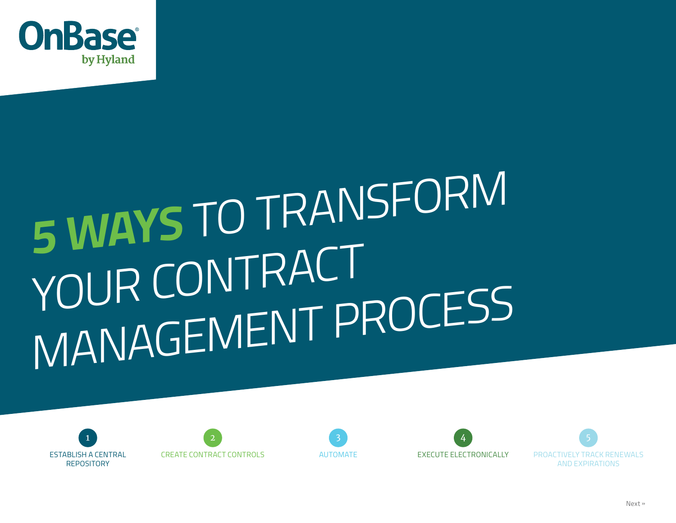

# **5 WAYS** TO TRANSFORM YOUR CONTRACT MANAGEMENT PROCESS







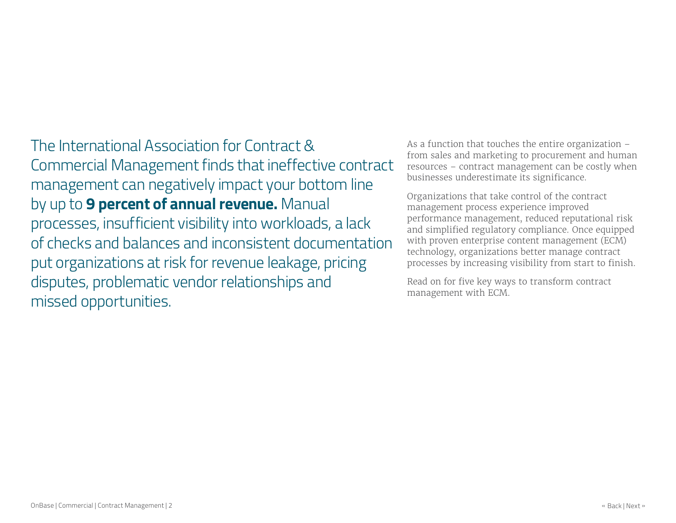The International Association for Contract & Commercial Management finds that ineffective contract management can negatively impact your bottom line by up to **9 percent of annual revenue.** Manual processes, insufficient visibility into workloads, a lack of checks and balances and inconsistent documentation put organizations at risk for revenue leakage, pricing disputes, problematic vendor relationships and missed opportunities.

As a function that touches the entire organization – from sales and marketing to procurement and human resources – contract management can be costly when businesses underestimate its significance.

Organizations that take control of the contract management process experience improved performance management, reduced reputational risk and simplified regulatory compliance. Once equipped with proven enterprise content management (ECM) technology, organizations better manage contract processes by increasing visibility from start to finish.

Read on for five key ways to transform contract management with ECM.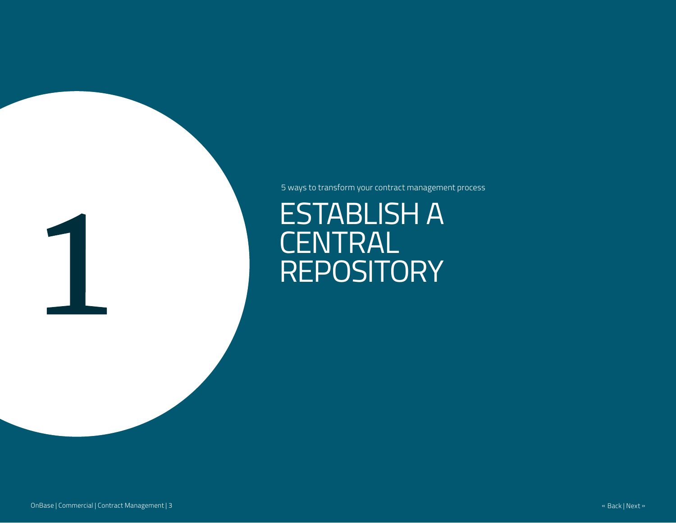5 ways to transform your contract management process

ESTABLISH A CENTRAL REPOSITORY

1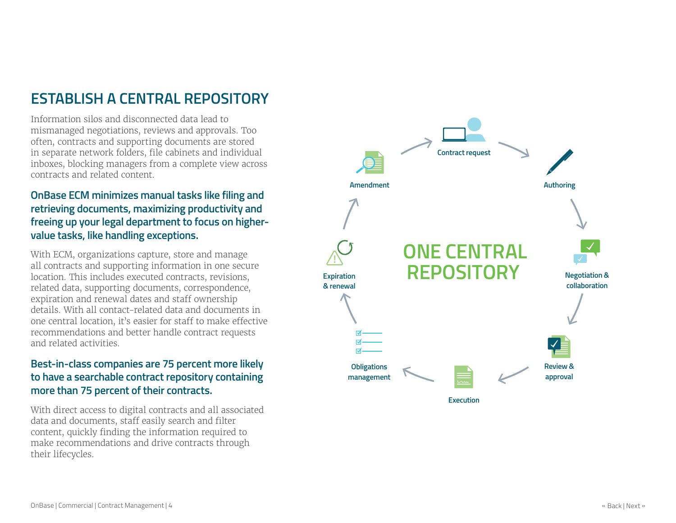### **ESTABLISH A CENTRAL REPOSITORY**

Information silos and disconnected data lead to mismanaged negotiations, reviews and approvals. Too often, contracts and supporting documents are stored in separate network folders, file cabinets and individual inboxes, blocking managers from a complete view across contracts and related content.

#### **OnBase ECM minimizes manual tasks like filing and retrieving documents, maximizing productivity and freeing up your legal department to focus on highervalue tasks, like handling exceptions.**

With ECM, organizations capture, store and manage all contracts and supporting information in one secure location. This includes executed contracts, revisions, related data, supporting documents, correspondence, expiration and renewal dates and staff ownership details. With all contact-related data and documents in one central location, it's easier for staff to make effective recommendations and better handle contract requests and related activities.

#### **Best-in-class companies are 75 percent more likely to have a searchable contract repository containing more than 75 percent of their contracts.**

With direct access to digital contracts and all associated data and documents, staff easily search and filter content, quickly finding the information required to make recommendations and drive contracts through their lifecycles.



**Execution**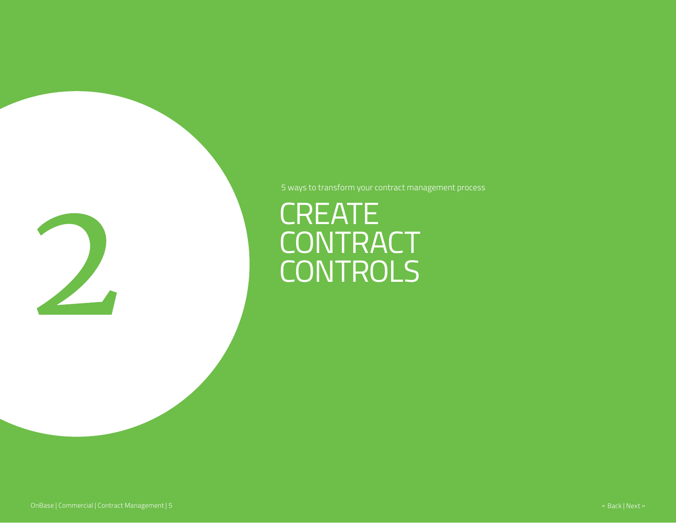

# CREATE **CONTRACT** CONTROLS

5 ways to transform your contract management process

OnBase | Commercial | Contract Management | 5 « Back | Next » [1] All and Security Commercial | Contract Management | 5 « Back | Next » [1] All and Security Commercial | Contract Management | 5 « Back | Next » [1] All and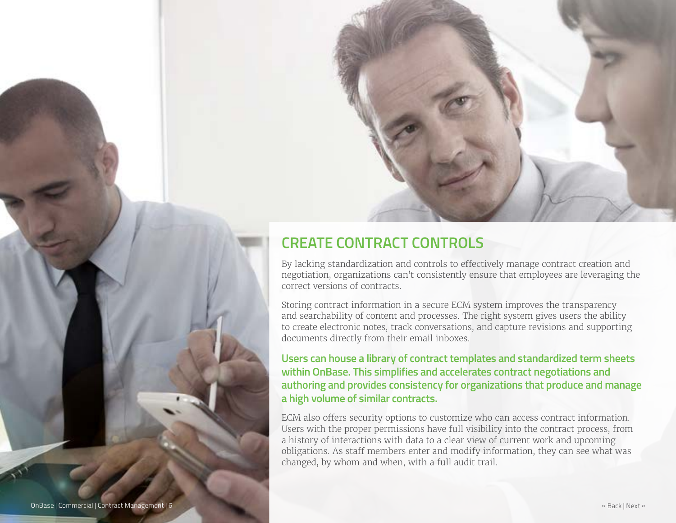

### **CREATE CONTRACT CONTROLS**

By lacking standardization and controls to effectively manage contract creation and negotiation, organizations can't consistently ensure that employees are leveraging the correct versions of contracts.

Storing contract information in a secure ECM system improves the transparency and searchability of content and processes. The right system gives users the ability to create electronic notes, track conversations, and capture revisions and supporting documents directly from their email inboxes.

**Users can house a library of contract templates and standardized term sheets within OnBase. This simplifies and accelerates contract negotiations and authoring and provides consistency for organizations that produce and manage a high volume of similar contracts.** 

ECM also offers security options to customize who can access contract information. Users with the proper permissions have full visibility into the contract process, from a history of interactions with data to a clear view of current work and upcoming obligations. As staff members enter and modify information, they can see what was changed, by whom and when, with a full audit trail.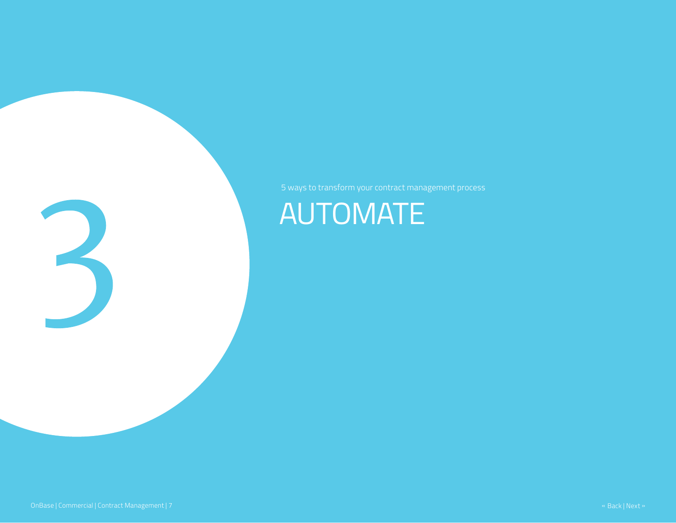

# AUTOMATE

3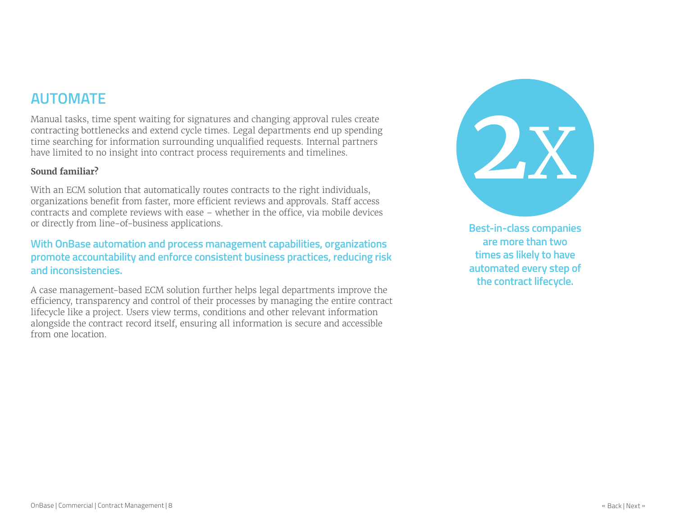### **AUTOMATE**

Manual tasks, time spent waiting for signatures and changing approval rules create contracting bottlenecks and extend cycle times. Legal departments end up spending time searching for information surrounding unqualified requests. Internal partners have limited to no insight into contract process requirements and timelines.

#### **Sound familiar?**

With an ECM solution that automatically routes contracts to the right individuals, organizations benefit from faster, more efficient reviews and approvals. Staff access contracts and complete reviews with ease – whether in the office, via mobile devices or directly from line-of-business applications.

#### **With OnBase automation and process management capabilities, organizations promote accountability and enforce consistent business practices, reducing risk and inconsistencies.**

A case management-based ECM solution further helps legal departments improve the efficiency, transparency and control of their processes by managing the entire contract lifecycle like a project. Users view terms, conditions and other relevant information alongside the contract record itself, ensuring all information is secure and accessible from one location.



**Best-in-class companies are more than two times as likely to have automated every step of the contract lifecycle.**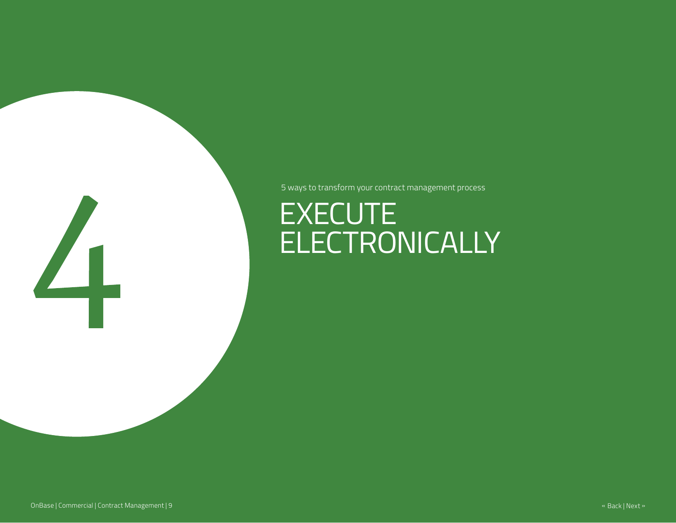5 ways to transform your contract management process

# EXECUTE **ELECTRONICALLY**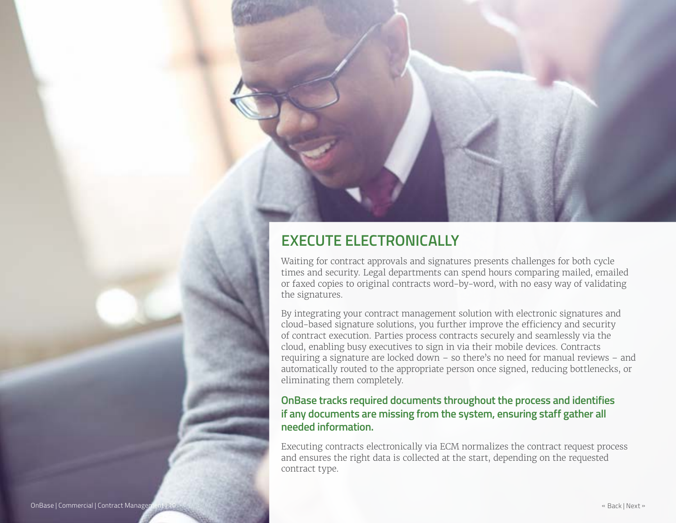

Waiting for contract approvals and signatures presents challenges for both cycle times and security. Legal departments can spend hours comparing mailed, emailed or faxed copies to original contracts word-by-word, with no easy way of validating the signatures.

By integrating your contract management solution with electronic signatures and cloud-based signature solutions, you further improve the efficiency and security of contract execution. Parties process contracts securely and seamlessly via the cloud, enabling busy executives to sign in via their mobile devices. Contracts requiring a signature are locked down – so there's no need for manual reviews – and automatically routed to the appropriate person once signed, reducing bottlenecks, or eliminating them completely.

#### **OnBase tracks required documents throughout the process and identifies if any documents are missing from the system, ensuring staff gather all needed information.**

Executing contracts electronically via ECM normalizes the contract request process and ensures the right data is collected at the start, depending on the requested contract type.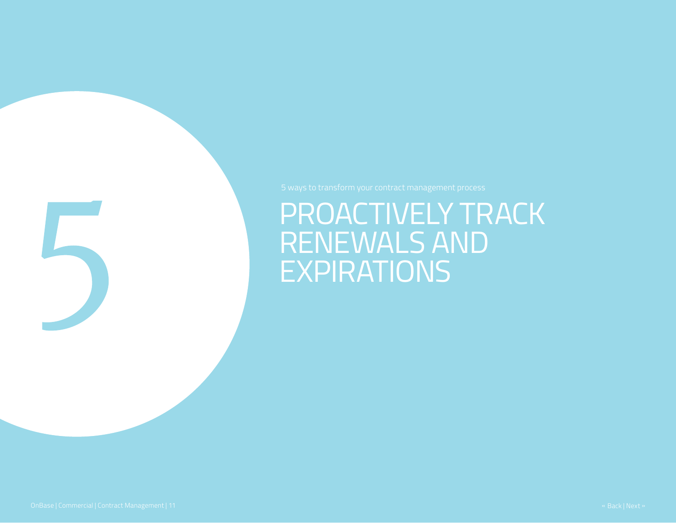## PROACTIVELY TRACK RENEWALS AND EXPIRATIONS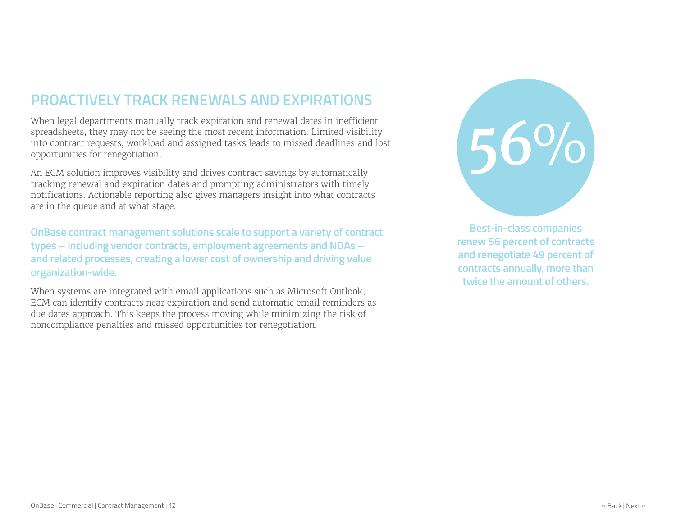### **PROACTIVELY TRACK RENEWALS AND EXPIRATIONS**

When legal departments manually track expiration and renewal dates in inefficient spreadsheets, they may not be seeing the most recent information. Limited visibility into contract requests, workload and assigned tasks leads to missed deadlines and lost opportunities for renegotiation.

An ECM solution improves visibility and drives contract savings by automatically tracking renewal and expiration dates and prompting administrators with timely notifications. Actionable reporting also gives managers insight into what contracts are in the queue and at what stage.

**OnBase contract management solutions scale to support a variety of contract types – including vendor contracts, employment agreements and NDAs – and related processes, creating a lower cost of ownership and driving value organization-wide.**

When systems are integrated with email applications such as Microsoft Outlook, ECM can identify contracts near expiration and send automatic email reminders as due dates approach. This keeps the process moving while minimizing the risk of noncompliance penalties and missed opportunities for renegotiation.



**Best-in-class companies renew 56 percent of contracts and renegotiate 49 percent of contracts annually, more than twice the amount of others.**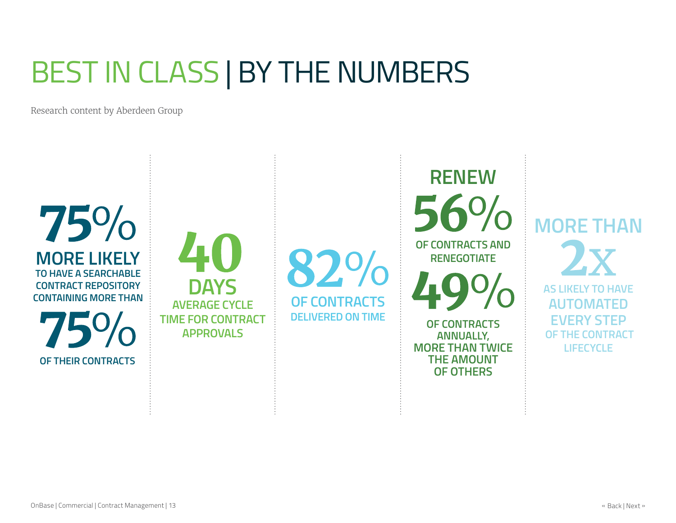# BEST IN CLASS | BY THE NUMBERS

Research content by Aberdeen Group

 $75\%$ **MORE LIKELY TO HAVE A SEARCHABLE CONTRACT REPOSITORY CONTAINING MORE THAN** 75%

**OF THEIR CONTRACTS**

**DAYS AVERAGE CYCLE TIME FOR CONTRACT APPROVALS**

82% **OF CONTRACTS DELIVERED ON TIME**

**OF CONTRACTS AND RENEGOTIATE OF CONTRACTS ANNUALLY, MORE THAN TWICE THE AMOUNT** 

**OF OTHERS**

**RENEW** 

**MORE THAN AS LIKELY TO HAVE AUTOMATED EVERY STEP OF THE CONTRACT LIFECYCLE**